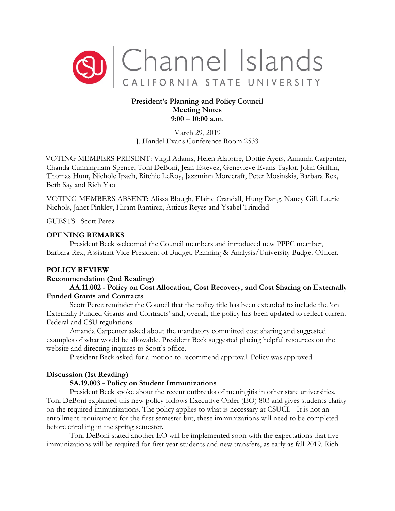

# **President's Planning and Policy Council Meeting Notes 9:00 – 10:00 a.m**.

March 29, 2019 J. Handel Evans Conference Room 2533

VOTING MEMBERS PRESENT: Virgil Adams, Helen Alatorre, Dottie Ayers, Amanda Carpenter, Chanda Cunningham-Spence, Toni DeBoni, Jean Estevez, Genevieve Evans Taylor, John Griffin, Thomas Hunt, Nichole Ipach, Ritchie LeRoy, Jazzminn Morecraft, Peter Mosinskis, Barbara Rex, Beth Say and Rich Yao

VOTING MEMBERS ABSENT: Alissa Blough, Elaine Crandall, Hung Dang, Nancy Gill, Laurie Nichols, Janet Pinkley, Hiram Ramirez, Atticus Reyes and Ysabel Trinidad

GUESTS: Scott Perez

### **OPENING REMARKS**

President Beck welcomed the Council members and introduced new PPPC member, Barbara Rex, Assistant Vice President of Budget, Planning & Analysis/University Budget Officer.

### **POLICY REVIEW**

### **Recommendation (2nd Reading)**

## **AA.11.002 - Policy on Cost Allocation, Cost Recovery, and Cost Sharing on Externally Funded Grants and Contracts**

Scott Perez reminder the Council that the policy title has been extended to include the 'on Externally Funded Grants and Contracts' and, overall, the policy has been updated to reflect current Federal and CSU regulations.

Amanda Carpenter asked about the mandatory committed cost sharing and suggested examples of what would be allowable. President Beck suggested placing helpful resources on the website and directing inquires to Scott's office.

President Beck asked for a motion to recommend approval. Policy was approved.

### **Discussion (1st Reading)**

## **SA.19.003 - Policy on Student Immunizations**

President Beck spoke about the recent outbreaks of meningitis in other state universities. Toni DeBoni explained this new policy follows Executive Order (EO) 803 and gives students clarity on the required immunizations. The policy applies to what is necessary at CSUCI. It is not an enrollment requirement for the first semester but, these immunizations will need to be completed before enrolling in the spring semester.

Toni DeBoni stated another EO will be implemented soon with the expectations that five immunizations will be required for first year students and new transfers, as early as fall 2019. Rich